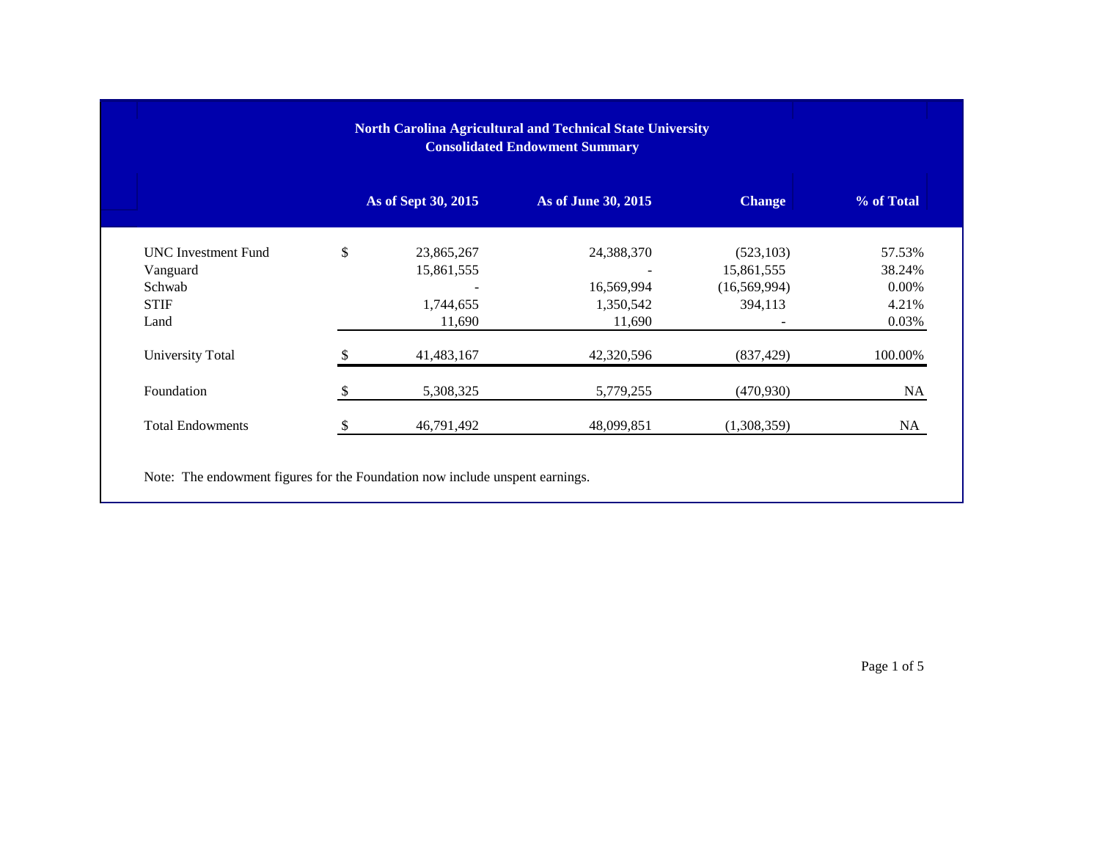|                            | <b>North Carolina Agricultural and Technical State University</b> |                     |                |            |
|----------------------------|-------------------------------------------------------------------|---------------------|----------------|------------|
|                            | As of Sept 30, 2015                                               | As of June 30, 2015 | <b>Change</b>  | % of Total |
| <b>UNC</b> Investment Fund | \$<br>23,865,267                                                  | 24,388,370          | (523, 103)     | 57.53%     |
| Vanguard                   | 15,861,555                                                        |                     | 15,861,555     | 38.24%     |
| Schwab                     |                                                                   | 16,569,994          | (16, 569, 994) | 0.00%      |
| <b>STIF</b>                | 1,744,655                                                         | 1,350,542           | 394,113        | 4.21%      |
| Land                       | 11,690                                                            | 11,690              |                | 0.03%      |
| University Total           | 41,483,167                                                        | 42,320,596          | (837, 429)     | 100.00%    |
| Foundation                 | 5,308,325                                                         | 5,779,255           | (470, 930)     | <b>NA</b>  |
| <b>Total Endowments</b>    | 46,791,492                                                        | 48,099,851          | (1,308,359)    | NA.        |

Page 1 of 5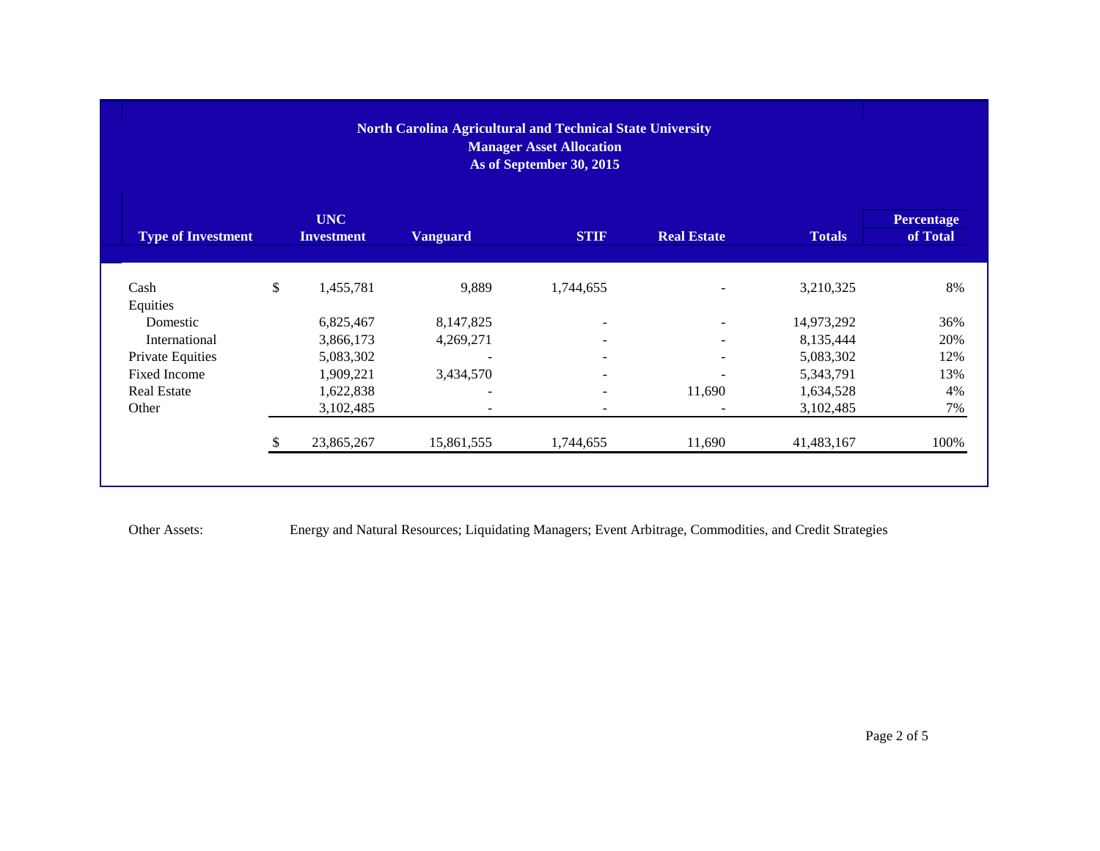| <b>Manager Asset Allocation</b><br>As of September 30, 2015 |      |                                 |                 |                          |                          |               |                               |  |  |
|-------------------------------------------------------------|------|---------------------------------|-----------------|--------------------------|--------------------------|---------------|-------------------------------|--|--|
| <b>Type of Investment</b>                                   |      | <b>UNC</b><br><b>Investment</b> | <b>Vanguard</b> | <b>STIF</b>              | <b>Real Estate</b>       | <b>Totals</b> | <b>Percentage</b><br>of Total |  |  |
| Cash                                                        | $\$$ | 1,455,781                       | 9,889           | 1,744,655                |                          | 3,210,325     | 8%                            |  |  |
| Equities<br>Domestic                                        |      | 6,825,467                       | 8,147,825       | $\overline{\phantom{a}}$ | $\overline{\phantom{a}}$ | 14,973,292    | 36%                           |  |  |
| International                                               |      | 3,866,173                       | 4,269,271       |                          | ۰                        | 8,135,444     | 20%                           |  |  |
| Private Equities                                            |      | 5,083,302                       |                 |                          | $\overline{\phantom{0}}$ | 5,083,302     | 12%                           |  |  |
| Fixed Income                                                |      | 1,909,221                       | 3,434,570       | $\overline{\phantom{a}}$ | $\blacksquare$           | 5,343,791     | 13%                           |  |  |
| <b>Real Estate</b>                                          |      | 1,622,838                       |                 | $\overline{\phantom{a}}$ | 11,690                   | 1,634,528     | 4%                            |  |  |
| Other                                                       |      | 3,102,485                       |                 | ٠                        |                          | 3,102,485     | 7%                            |  |  |
|                                                             |      | 23,865,267                      | 15,861,555      | 1,744,655                | 11,690                   | 41,483,167    | 100%                          |  |  |

Other Assets: Energy and Natural Resources; Liquidating Managers; Event Arbitrage, Commodities, and Credit Strategies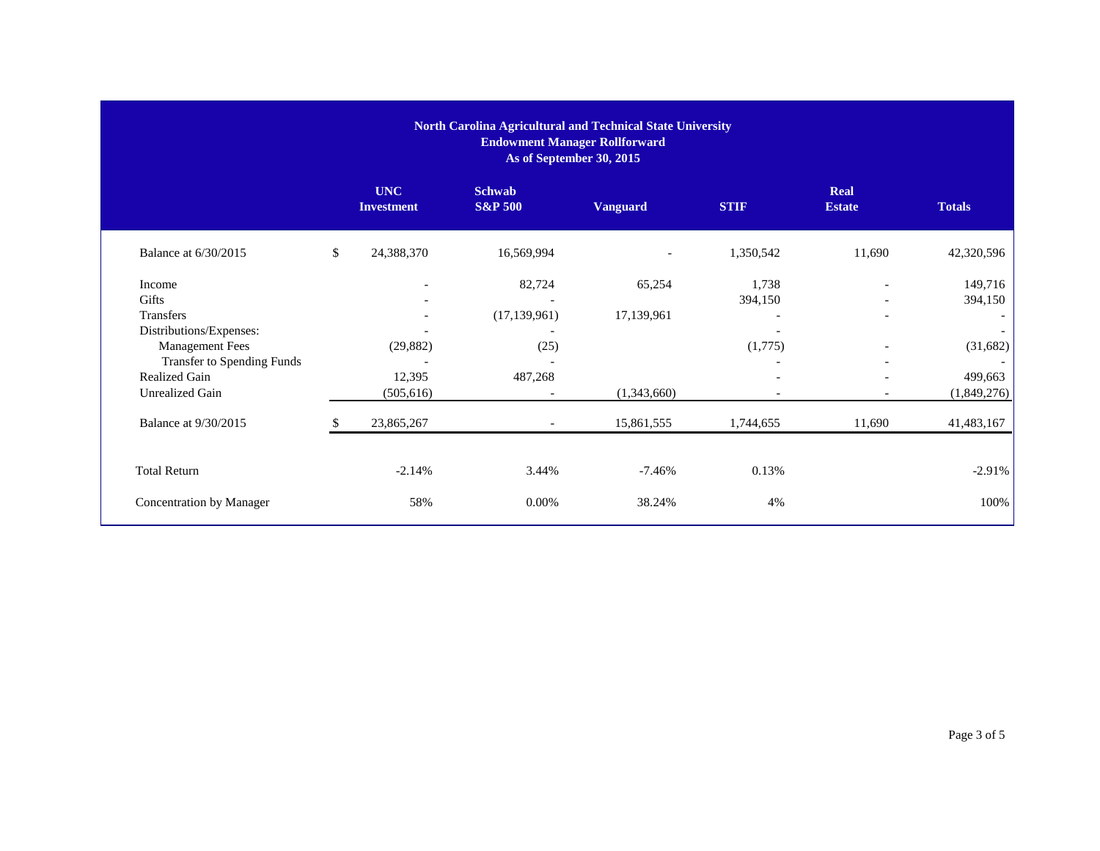|                                         | North Carolina Agricultural and Technical State University<br><b>Endowment Manager Rollforward</b><br>As of September 30, 2015 |                                 |                                     |                 |                          |                              |                          |
|-----------------------------------------|--------------------------------------------------------------------------------------------------------------------------------|---------------------------------|-------------------------------------|-----------------|--------------------------|------------------------------|--------------------------|
|                                         |                                                                                                                                | <b>UNC</b><br><b>Investment</b> | <b>Schwab</b><br><b>S&amp;P 500</b> | <b>Vanguard</b> | <b>STIF</b>              | <b>Real</b><br><b>Estate</b> | <b>Totals</b>            |
| Balance at 6/30/2015                    | \$                                                                                                                             | 24,388,370                      | 16,569,994                          |                 | 1,350,542                | 11,690                       | 42,320,596               |
| Income                                  |                                                                                                                                | $\overline{\phantom{a}}$        | 82,724                              | 65,254          | 1,738                    | $\overline{\phantom{0}}$     | 149,716                  |
| Gifts                                   |                                                                                                                                |                                 |                                     |                 | 394,150                  |                              | 394,150                  |
| Transfers                               |                                                                                                                                |                                 | (17, 139, 961)                      | 17,139,961      |                          |                              | $\overline{\phantom{a}}$ |
| Distributions/Expenses:                 |                                                                                                                                | ٠                               |                                     |                 |                          |                              | $\overline{\phantom{a}}$ |
| <b>Management Fees</b>                  |                                                                                                                                | (29, 882)                       | (25)                                |                 | (1,775)                  | $\overline{\phantom{0}}$     | (31,682)                 |
| Transfer to Spending Funds              |                                                                                                                                |                                 |                                     |                 | $\overline{\phantom{0}}$ | $\overline{\phantom{a}}$     | $\overline{\phantom{a}}$ |
| Realized Gain<br><b>Unrealized Gain</b> |                                                                                                                                | 12,395<br>(505, 616)            | 487,268                             | (1,343,660)     |                          | $\overline{\phantom{0}}$     | 499,663<br>(1,849,276)   |
| <b>Balance at 9/30/2015</b>             |                                                                                                                                | 23,865,267                      | $\overline{\phantom{a}}$            | 15,861,555      | 1,744,655                | 11,690                       | 41,483,167               |
| <b>Total Return</b>                     |                                                                                                                                | $-2.14%$                        | 3.44%                               | $-7.46%$        | 0.13%                    |                              | $-2.91%$                 |
|                                         |                                                                                                                                |                                 |                                     |                 |                          |                              |                          |
| Concentration by Manager                |                                                                                                                                | 58%                             | $0.00\%$                            | 38.24%          | 4%                       |                              | 100%                     |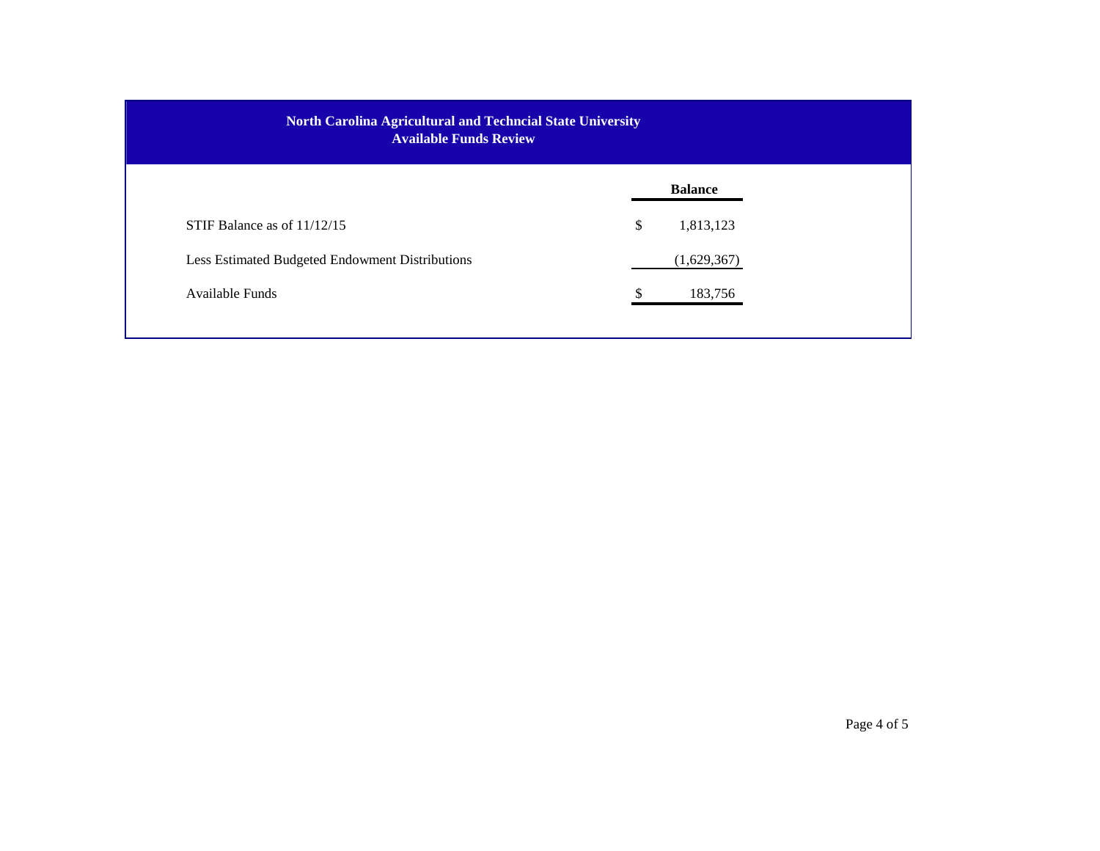| North Carolina Agricultural and Techncial State University<br><b>Available Funds Review</b> |                 |  |  |
|---------------------------------------------------------------------------------------------|-----------------|--|--|
|                                                                                             | <b>Balance</b>  |  |  |
| STIF Balance as of $11/12/15$                                                               | \$<br>1,813,123 |  |  |
| Less Estimated Budgeted Endowment Distributions                                             | (1,629,367)     |  |  |
| Available Funds                                                                             | 183,756         |  |  |
|                                                                                             |                 |  |  |